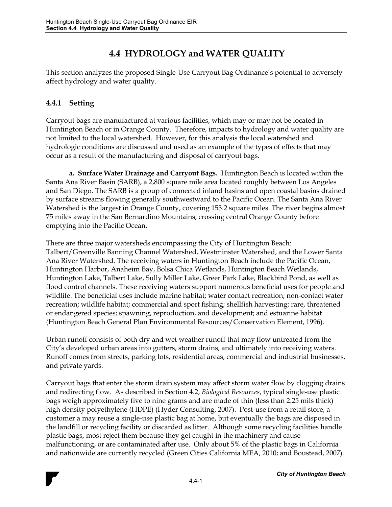## **4.4 HYDROLOGY and WATER QUALITY**

This section analyzes the proposed Single-Use Carryout Bag Ordinance's potential to adversely affect hydrology and water quality.

## **4.4.1 Setting**

Carryout bags are manufactured at various facilities, which may or may not be located in Huntington Beach or in Orange County. Therefore, impacts to hydrology and water quality are not limited to the local watershed. However, for this analysis the local watershed and hydrologic conditions are discussed and used as an example of the types of effects that may occur as a result of the manufacturing and disposal of carryout bags.

**a. Surface Water Drainage and Carryout Bags.** Huntington Beach is located within the Santa Ana River Basin (SARB), a 2,800 square mile area located roughly between Los Angeles and San Diego. The SARB is a group of connected inland basins and open coastal basins drained by surface streams flowing generally southwestward to the Pacific Ocean. The Santa Ana River Watershed is the largest in Orange County, covering 153.2 square miles. The river begins almost 75 miles away in the San Bernardino Mountains, crossing central Orange County before emptying into the Pacific Ocean.

There are three major watersheds encompassing the City of Huntington Beach: Talbert/Greenville Banning Channel Watershed, Westminster Watershed, and the Lower Santa Ana River Watershed. The receiving waters in Huntington Beach include the Pacific Ocean, Huntington Harbor, Anaheim Bay, Bolsa Chica Wetlands, Huntington Beach Wetlands, Huntington Lake, Talbert Lake, Sully Miller Lake, Greer Park Lake, Blackbird Pond, as well as flood control channels. These receiving waters support numerous beneficial uses for people and wildlife. The beneficial uses include marine habitat; water contact recreation; non-contact water recreation; wildlife habitat; commercial and sport fishing; shellfish harvesting; rare, threatened or endangered species; spawning, reproduction, and development; and estuarine habitat (Huntington Beach General Plan Environmental Resources/Conservation Element, 1996).

Urban runoff consists of both dry and wet weather runoff that may flow untreated from the City's developed urban areas into gutters, storm drains, and ultimately into receiving waters. Runoff comes from streets, parking lots, residential areas, commercial and industrial businesses, and private yards.

Carryout bags that enter the storm drain system may affect storm water flow by clogging drains and redirecting flow. As described in Section 4.2, *Biological Resources*, typical single-use plastic bags weigh approximately five to nine grams and are made of thin (less than 2.25 mils thick) high density polyethylene (HDPE) (Hyder Consulting, 2007). Post-use from a retail store, a customer a may reuse a single-use plastic bag at home, but eventually the bags are disposed in the landfill or recycling facility or discarded as litter. Although some recycling facilities handle plastic bags, most reject them because they get caught in the machinery and cause malfunctioning, or are contaminated after use. Only about 5% of the plastic bags in California and nationwide are currently recycled (Green Cities California MEA, 2010; and Boustead, 2007).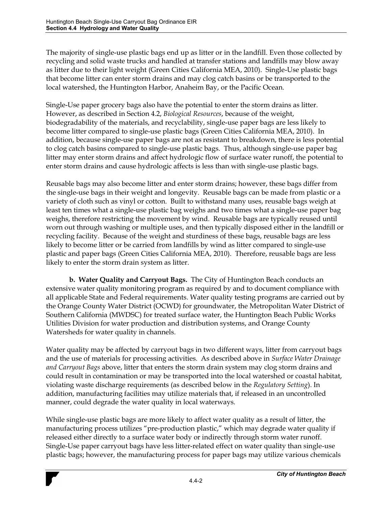The majority of single-use plastic bags end up as litter or in the landfill. Even those collected by recycling and solid waste trucks and handled at transfer stations and landfills may blow away as litter due to their light weight (Green Cities California MEA, 2010). Single-Use plastic bags that become litter can enter storm drains and may clog catch basins or be transported to the local watershed, the Huntington Harbor, Anaheim Bay, or the Pacific Ocean.

Single-Use paper grocery bags also have the potential to enter the storm drains as litter. However, as described in Section 4.2, *Biological Resources*, because of the weight, biodegradability of the materials, and recyclability, single-use paper bags are less likely to become litter compared to single-use plastic bags (Green Cities California MEA, 2010). In addition, because single-use paper bags are not as resistant to breakdown, there is less potential to clog catch basins compared to single-use plastic bags. Thus, although single-use paper bag litter may enter storm drains and affect hydrologic flow of surface water runoff, the potential to enter storm drains and cause hydrologic affects is less than with single-use plastic bags.

Reusable bags may also become litter and enter storm drains; however, these bags differ from the single-use bags in their weight and longevity. Reusable bags can be made from plastic or a variety of cloth such as vinyl or cotton. Built to withstand many uses, reusable bags weigh at least ten times what a single-use plastic bag weighs and two times what a single-use paper bag weighs, therefore restricting the movement by wind. Reusable bags are typically reused until worn out through washing or multiple uses, and then typically disposed either in the landfill or recycling facility. Because of the weight and sturdiness of these bags, reusable bags are less likely to become litter or be carried from landfills by wind as litter compared to single-use plastic and paper bags (Green Cities California MEA, 2010). Therefore, reusable bags are less likely to enter the storm drain system as litter.

**b. Water Quality and Carryout Bags.** The City of Huntington Beach conducts an extensive water quality monitoring program as required by and to document compliance with all applicable State and Federal requirements. Water quality testing programs are carried out by the Orange County Water District (OCWD) for groundwater, the Metropolitan Water District of Southern California (MWDSC) for treated surface water, the Huntington Beach Public Works Utilities Division for water production and distribution systems, and Orange County Watersheds for water quality in channels.

Water quality may be affected by carryout bags in two different ways, litter from carryout bags and the use of materials for processing activities. As described above in *Surface Water Drainage and Carryout Bags* above, litter that enters the storm drain system may clog storm drains and could result in contamination or may be transported into the local watershed or coastal habitat, violating waste discharge requirements (as described below in the *Regulatory Setting*). In addition, manufacturing facilities may utilize materials that, if released in an uncontrolled manner, could degrade the water quality in local waterways.

While single-use plastic bags are more likely to affect water quality as a result of litter, the manufacturing process utilizes "pre-production plastic," which may degrade water quality if released either directly to a surface water body or indirectly through storm water runoff. Single-Use paper carryout bags have less litter-related effect on water quality than single-use plastic bags; however, the manufacturing process for paper bags may utilize various chemicals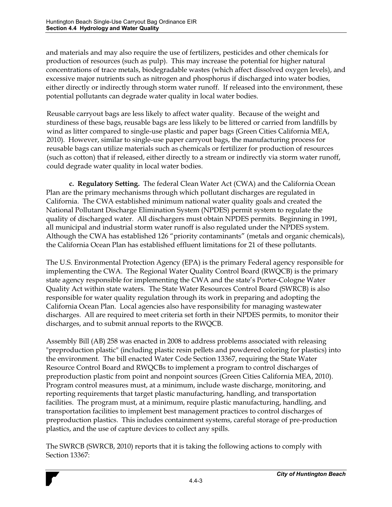and materials and may also require the use of fertilizers, pesticides and other chemicals for production of resources (such as pulp). This may increase the potential for higher natural concentrations of trace metals, biodegradable wastes (which affect dissolved oxygen levels), and excessive major nutrients such as nitrogen and phosphorus if discharged into water bodies, either directly or indirectly through storm water runoff. If released into the environment, these potential pollutants can degrade water quality in local water bodies.

Reusable carryout bags are less likely to affect water quality. Because of the weight and sturdiness of these bags, reusable bags are less likely to be littered or carried from landfills by wind as litter compared to single-use plastic and paper bags (Green Cities California MEA, 2010). However, similar to single-use paper carryout bags, the manufacturing process for reusable bags can utilize materials such as chemicals or fertilizer for production of resources (such as cotton) that if released, either directly to a stream or indirectly via storm water runoff, could degrade water quality in local water bodies.

**c. Regulatory Setting.** The federal Clean Water Act (CWA) and the California Ocean Plan are the primary mechanisms through which pollutant discharges are regulated in California. The CWA established minimum national water quality goals and created the National Pollutant Discharge Elimination System (NPDES) permit system to regulate the quality of discharged water. All dischargers must obtain NPDES permits. Beginning in 1991, all municipal and industrial storm water runoff is also regulated under the NPDES system. Although the CWA has established 126 "priority contaminants" (metals and organic chemicals), the California Ocean Plan has established effluent limitations for 21 of these pollutants.

The U.S. Environmental Protection Agency (EPA) is the primary Federal agency responsible for implementing the CWA. The Regional Water Quality Control Board (RWQCB) is the primary state agency responsible for implementing the CWA and the state's Porter-Cologne Water Quality Act within state waters. The State Water Resources Control Board (SWRCB) is also responsible for water quality regulation through its work in preparing and adopting the California Ocean Plan. Local agencies also have responsibility for managing wastewater discharges. All are required to meet criteria set forth in their NPDES permits, to monitor their discharges, and to submit annual reports to the RWQCB.

Assembly Bill (AB) 258 was enacted in 2008 to address problems associated with releasing "preproduction plastic" (including plastic resin pellets and powdered coloring for plastics) into the environment. The bill enacted Water Code Section 13367, requiring the State Water Resource Control Board and RWQCBs to implement a program to control discharges of preproduction plastic from point and nonpoint sources (Green Cities California MEA, 2010). Program control measures must, at a minimum, include waste discharge, monitoring, and reporting requirements that target plastic manufacturing, handling, and transportation facilities. The program must, at a minimum, require plastic manufacturing, handling, and transportation facilities to implement best management practices to control discharges of preproduction plastics. This includes containment systems, careful storage of pre-production plastics, and the use of capture devices to collect any spills.

The SWRCB (SWRCB, 2010) reports that it is taking the following actions to comply with Section 13367: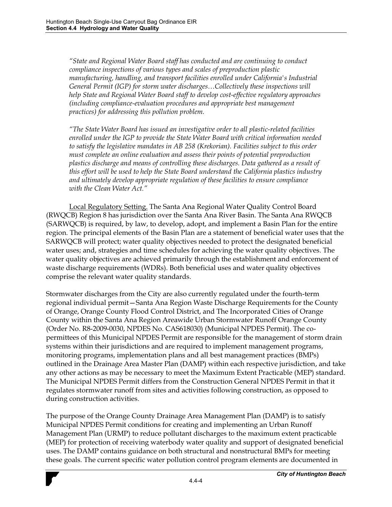*´6WDWHDQG5HJLRQDO:DWHU%RDUGVWDIIKDVFRQGXFWHGDQGDUHcontinuing to conduct compliance inspections of various types and scales of preproduction plastic manufacturing, handling, and transport facilities enrolled under California's Industrial*  General Permit (IGP) for storm water discharges...Collectively these inspections will *help State and Regional Water Board staff to develop cost-effective regulatory approaches (including compliance-evaluation procedures and appropriate best management practices) for addressing this pollution problem.* 

*´7KH6WDWH:DWHU%RDUGKas issued an investigative order to all plastic-related facilities enrolled under the IGP to provide the State Water Board with critical information needed to satisfy the legislative mandates in AB 258 (Krekorian). Facilities subject to this order must complete an online evaluation and assess their points of potential preproduction plastics discharge and means of controlling these discharges. Data gathered as a result of this effort will be used to help the State Board understand the California plastics industry and ultimately develop appropriate regulation of these facilities to ensure compliance zwith the Clean Water Act.*"

Local Regulatory Setting. The Santa Ana Regional Water Quality Control Board (RWQCB) Region 8 has jurisdiction over the Santa Ana River Basin. The Santa Ana RWQCB (SARWQCB) is required, by law, to develop, adopt, and implement a Basin Plan for the entire region. The principal elements of the Basin Plan are a statement of beneficial water uses that the SARWQCB will protect; water quality objectives needed to protect the designated beneficial water uses; and, strategies and time schedules for achieving the water quality objectives. The water quality objectives are achieved primarily through the establishment and enforcement of waste discharge requirements (WDRs). Both beneficial uses and water quality objectives comprise the relevant water quality standards.

Stormwater discharges from the City are also currently regulated under the fourth-term regional individual permit-Santa Ana Region Waste Discharge Requirements for the County of Orange, Orange County Flood Control District, and The Incorporated Cities of Orange County within the Santa Ana Region Areawide Urban Stormwater Runoff Orange County (Order No. R8-2009-0030, NPDES No. CAS618030) (Municipal NPDES Permit). The copermittees of this Municipal NPDES Permit are responsible for the management of storm drain systems within their jurisdictions and are required to implement management programs, monitoring programs, implementation plans and all best management practices (BMPs) outlined in the Drainage Area Master Plan (DAMP) within each respective jurisdiction, and take any other actions as may be necessary to meet the Maximum Extent Practicable (MEP) standard. The Municipal NPDES Permit differs from the Construction General NPDES Permit in that it regulates stormwater runoff from sites and activities following construction, as opposed to during construction activities.

The purpose of the Orange County Drainage Area Management Plan (DAMP) is to satisfy Municipal NPDES Permit conditions for creating and implementing an Urban Runoff Management Plan (URMP) to reduce pollutant discharges to the maximum extent practicable (MEP) for protection of receiving waterbody water quality and support of designated beneficial uses. The DAMP contains guidance on both structural and nonstructural BMPs for meeting these goals. The current specific water pollution control program elements are documented in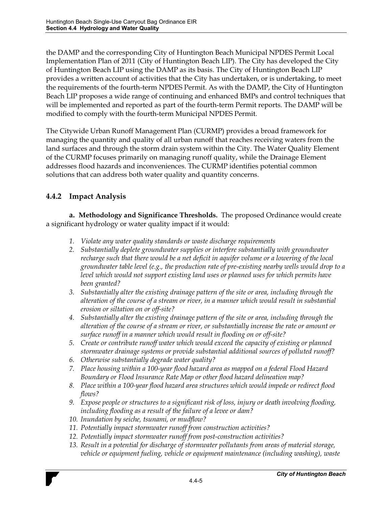the DAMP and the corresponding City of Huntington Beach Municipal NPDES Permit Local Implementation Plan of 2011 (City of Huntington Beach LIP). The City has developed the City of Huntington Beach LIP using the DAMP as its basis. The City of Huntington Beach LIP provides a written account of activities that the City has undertaken, or is undertaking, to meet the requirements of the fourth-term NPDES Permit. As with the DAMP, the City of Huntington Beach LIP proposes a wide range of continuing and enhanced BMPs and control techniques that will be implemented and reported as part of the fourth-term Permit reports. The DAMP will be modified to comply with the fourth-term Municipal NPDES Permit.

The Citywide Urban Runoff Management Plan (CURMP) provides a broad framework for managing the quantity and quality of all urban runoff that reaches receiving waters from the land surfaces and through the storm drain system within the City. The Water Quality Element of the CURMP focuses primarily on managing runoff quality, while the Drainage Element addresses flood hazards and inconveniences. The CURMP identifies potential common solutions that can address both water quality and quantity concerns.

## **4.4.2 Impact Analysis**

**a. Methodology and Significance Thresholds.** The proposed Ordinance would create a significant hydrology or water quality impact if it would:

- *1. Violate any water quality standards or waste discharge requirements*
- *2. Substantially deplete groundwater supplies or interfere substantially with groundwater recharge such that there would be a net deficit in aquifer volume or a lowering of the local groundwater table level (e.g., the production rate of pre-existing nearby wells would drop to a level which would not support existing land uses or planned uses for which permits have been granted?*
- *3. Substantially alter the existing drainage pattern of the site or area, including through the alteration of the course of a stream or river, in a manner which would result in substantial erosion or siltation on or off-site?*
- *4. Substantially alter the existing drainage pattern of the site or area, including through the alteration of the course of a stream or river, or substantially increase the rate or amount or surface runoff in a manner which would result in flooding on or off-site?*
- *5. Create or contribute runoff water which would exceed the capacity of existing or planned stormwater drainage systems or provide substantial additional sources of polluted runoff?*
- *6. Otherwise substantially degrade water quality?*
- *7. Place housing within a 100-year flood hazard area as mapped on a federal Flood Hazard Boundary or Flood Insurance Rate Map or other flood hazard delineation map?*
- *8. Place within a 100-year flood hazard area structures which would impede or redirect flood flows?*
- *9. Expose people or structures to a significant risk of loss, injury or death involving flooding, including flooding as a result of the failure of a levee or dam?*
- *10. Inundation by seiche, tsunami, or mudflow?*
- *11. Potentially impact stormwater runoff from construction activities?*
- *12. Potentially impact stormwater runoff from post-construction activities?*
- *13. Result in a potential for discharge of stormwater pollutants from areas of material storage, vehicle or equipment fueling, vehicle or equipment maintenance (including washing), waste*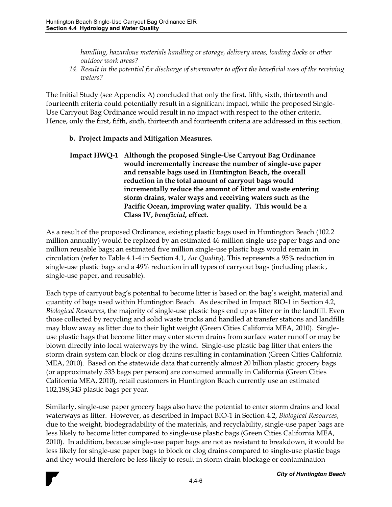*handling, hazardous materials handling or storage, delivery areas, loading docks or other outdoor work areas?* 

*14. Result in the potential for discharge of stormwater to affect the beneficial uses of the receiving waters?* 

The Initial Study (see Appendix A) concluded that only the first, fifth, sixth, thirteenth and fourteenth criteria could potentially result in a significant impact, while the proposed Single-Use Carryout Bag Ordinance would result in no impact with respect to the other criteria. Hence, only the first, fifth, sixth, thirteenth and fourteenth criteria are addressed in this section.

## **b. Project Impacts and Mitigation Measures.**

**Impact HWQ-1 Although the proposed Single-Use Carryout Bag Ordinance would incrementally increase the number of single-use paper and reusable bags used in Huntington Beach, the overall reduction in the total amount of carryout bags would incrementally reduce the amount of litter and waste entering storm drains, water ways and receiving waters such as the Pacific Ocean, improving water quality. This would be a Class IV,** *beneficial***, effect.** 

As a result of the proposed Ordinance, existing plastic bags used in Huntington Beach (102.2 million annually) would be replaced by an estimated 46 million single-use paper bags and one million reusable bags; an estimated five million single-use plastic bags would remain in circulation (refer to Table 4.1-4 in Section 4.1, *Air Quality*). This represents a 95% reduction in single-use plastic bags and a 49% reduction in all types of carryout bags (including plastic, single-use paper, and reusable).

Each type of carryout bag's potential to become litter is based on the bag's weight, material and quantity of bags used within Huntington Beach. As described in Impact BIO-1 in Section 4.2, *Biological Resources*, the majority of single-use plastic bags end up as litter or in the landfill. Even those collected by recycling and solid waste trucks and handled at transfer stations and landfills may blow away as litter due to their light weight (Green Cities California MEA, 2010). Singleuse plastic bags that become litter may enter storm drains from surface water runoff or may be blown directly into local waterways by the wind. Single-use plastic bag litter that enters the storm drain system can block or clog drains resulting in contamination (Green Cities California MEA, 2010). Based on the statewide data that currently almost 20 billion plastic grocery bags (or approximately 533 bags per person) are consumed annually in California (Green Cities California MEA, 2010), retail customers in Huntington Beach currently use an estimated 102,198,343 plastic bags per year.

Similarly, single-use paper grocery bags also have the potential to enter storm drains and local waterways as litter. However, as described in Impact BIO-1 in Section 4.2, *Biological Resources*, due to the weight, biodegradability of the materials, and recyclability, single-use paper bags are less likely to become litter compared to single-use plastic bags (Green Cities California MEA, 2010). In addition, because single-use paper bags are not as resistant to breakdown, it would be less likely for single-use paper bags to block or clog drains compared to single-use plastic bags and they would therefore be less likely to result in storm drain blockage or contamination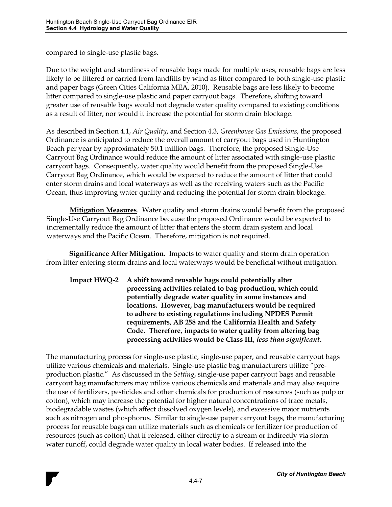compared to single-use plastic bags.

Due to the weight and sturdiness of reusable bags made for multiple uses, reusable bags are less likely to be littered or carried from landfills by wind as litter compared to both single-use plastic and paper bags (Green Cities California MEA, 2010). Reusable bags are less likely to become litter compared to single-use plastic and paper carryout bags. Therefore, shifting toward greater use of reusable bags would not degrade water quality compared to existing conditions as a result of litter, nor would it increase the potential for storm drain blockage.

As described in Section 4.1, *Air Quality*, and Section 4.3, *Greenhouse Gas Emissions*, the proposed Ordinance is anticipated to reduce the overall amount of carryout bags used in Huntington Beach per year by approximately 50.1 million bags. Therefore, the proposed Single-Use Carryout Bag Ordinance would reduce the amount of litter associated with single-use plastic carryout bags. Consequently, water quality would benefit from the proposed Single-Use Carryout Bag Ordinance, which would be expected to reduce the amount of litter that could enter storm drains and local waterways as well as the receiving waters such as the Pacific Ocean, thus improving water quality and reducing the potential for storm drain blockage.

**Mitigation Measures**. Water quality and storm drains would benefit from the proposed Single-Use Carryout Bag Ordinance because the proposed Ordinance would be expected to incrementally reduce the amount of litter that enters the storm drain system and local waterways and the Pacific Ocean. Therefore, mitigation is not required.

**Significance After Mitigation.** Impacts to water quality and storm drain operation from litter entering storm drains and local waterways would be beneficial without mitigation.

**Impact HWQ-2 A shift toward reusable bags could potentially alter processing activities related to bag production, which could potentially degrade water quality in some instances and locations. However, bag manufacturers would be required to adhere to existing regulations including NPDES Permit requirements, AB 258 and the California Health and Safety Code. Therefore, impacts to water quality from altering bag processing activities would be Class III,** *less than significant***.** 

The manufacturing process for single-use plastic, single-use paper, and reusable carryout bags utilize various chemicals and materials. Single-use plastic bag manufacturers utilize "preproduction plastic." As discussed in the *Setting*, single-use paper carryout bags and reusable carryout bag manufacturers may utilize various chemicals and materials and may also require the use of fertilizers, pesticides and other chemicals for production of resources (such as pulp or cotton), which may increase the potential for higher natural concentrations of trace metals, biodegradable wastes (which affect dissolved oxygen levels), and excessive major nutrients such as nitrogen and phosphorus. Similar to single-use paper carryout bags, the manufacturing process for reusable bags can utilize materials such as chemicals or fertilizer for production of resources (such as cotton) that if released, either directly to a stream or indirectly via storm water runoff, could degrade water quality in local water bodies. If released into the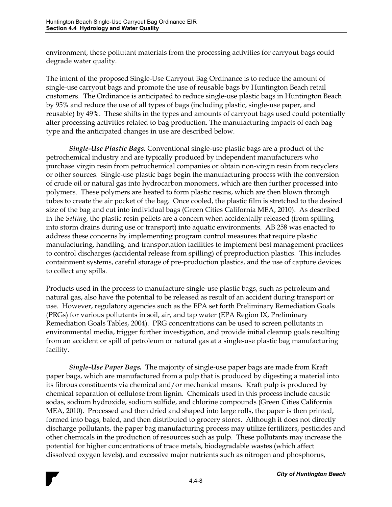environment, these pollutant materials from the processing activities for carryout bags could degrade water quality.

The intent of the proposed Single-Use Carryout Bag Ordinance is to reduce the amount of single-use carryout bags and promote the use of reusable bags by Huntington Beach retail customers. The Ordinance is anticipated to reduce single-use plastic bags in Huntington Beach by 95% and reduce the use of all types of bags (including plastic, single-use paper, and reusable) by 49%. These shifts in the types and amounts of carryout bags used could potentially alter processing activities related to bag production. The manufacturing impacts of each bag type and the anticipated changes in use are described below.

*Single-Use Plastic Bags.* Conventional single-use plastic bags are a product of the petrochemical industry and are typically produced by independent manufacturers who purchase virgin resin from petrochemical companies or obtain non-virgin resin from recyclers or other sources. Single-use plastic bags begin the manufacturing process with the conversion of crude oil or natural gas into hydrocarbon monomers, which are then further processed into polymers. These polymers are heated to form plastic resins, which are then blown through tubes to create the air pocket of the bag. Once cooled, the plastic film is stretched to the desired size of the bag and cut into individual bags (Green Cities California MEA, 2010). As described in the *Setting*, the plastic resin pellets are a concern when accidentally released (from spilling into storm drains during use or transport) into aquatic environments. AB 258 was enacted to address these concerns by implementing program control measures that require plastic manufacturing, handling, and transportation facilities to implement best management practices to control discharges (accidental release from spilling) of preproduction plastics. This includes containment systems, careful storage of pre-production plastics, and the use of capture devices to collect any spills.

Products used in the process to manufacture single-use plastic bags, such as petroleum and natural gas, also have the potential to be released as result of an accident during transport or use. However, regulatory agencies such as the EPA set forth Preliminary Remediation Goals (PRGs) for various pollutants in soil, air, and tap water (EPA Region IX, Preliminary Remediation Goals Tables, 2004). PRG concentrations can be used to screen pollutants in environmental media, trigger further investigation, and provide initial cleanup goals resulting from an accident or spill of petroleum or natural gas at a single-use plastic bag manufacturing facility.

*Single-Use Paper Bags.* The majority of single-use paper bags are made from Kraft paper bags, which are manufactured from a pulp that is produced by digesting a material into its fibrous constituents via chemical and/or mechanical means. Kraft pulp is produced by chemical separation of cellulose from lignin. Chemicals used in this process include caustic sodas, sodium hydroxide, sodium sulfide, and chlorine compounds (Green Cities California MEA, 2010). Processed and then dried and shaped into large rolls, the paper is then printed, formed into bags, baled, and then distributed to grocery stores. Although it does not directly discharge pollutants, the paper bag manufacturing process may utilize fertilizers, pesticides and other chemicals in the production of resources such as pulp. These pollutants may increase the potential for higher concentrations of trace metals, biodegradable wastes (which affect dissolved oxygen levels), and excessive major nutrients such as nitrogen and phosphorus,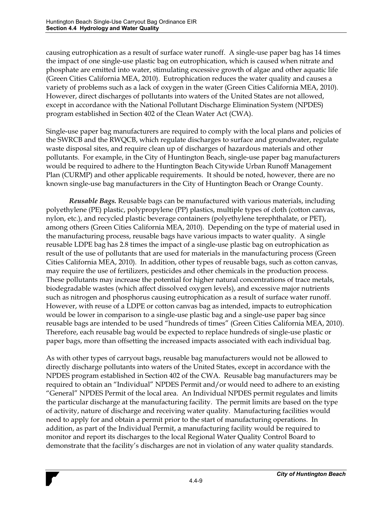causing eutrophication as a result of surface water runoff. A single-use paper bag has 14 times the impact of one single-use plastic bag on eutrophication, which is caused when nitrate and phosphate are emitted into water, stimulating excessive growth of algae and other aquatic life (Green Cities California MEA, 2010). Eutrophication reduces the water quality and causes a variety of problems such as a lack of oxygen in the water (Green Cities California MEA, 2010). However, direct discharges of pollutants into waters of the United States are not allowed, except in accordance with the National Pollutant Discharge Elimination System (NPDES) program established in Section 402 of the Clean Water Act (CWA).

Single-use paper bag manufacturers are required to comply with the local plans and policies of the SWRCB and the RWQCB, which regulate discharges to surface and groundwater, regulate waste disposal sites, and require clean up of discharges of hazardous materials and other pollutants. For example, in the City of Huntington Beach, single-use paper bag manufacturers would be required to adhere to the Huntington Beach Citywide Urban Runoff Management Plan (CURMP) and other applicable requirements. It should be noted, however, there are no known single-use bag manufacturers in the City of Huntington Beach or Orange County.

*Reusable Bags.* Reusable bags can be manufactured with various materials, including polyethylene (PE) plastic, polypropylene (PP) plastics, multiple types of cloth (cotton canvas, nylon, etc.), and recycled plastic beverage containers (polyethylene terephthalate, or PET), among others (Green Cities California MEA, 2010). Depending on the type of material used in the manufacturing process, reusable bags have various impacts to water quality. A single reusable LDPE bag has 2.8 times the impact of a single-use plastic bag on eutrophication as result of the use of pollutants that are used for materials in the manufacturing process (Green Cities California MEA, 2010). In addition, other types of reusable bags, such as cotton canvas, may require the use of fertilizers, pesticides and other chemicals in the production process. These pollutants may increase the potential for higher natural concentrations of trace metals, biodegradable wastes (which affect dissolved oxygen levels), and excessive major nutrients such as nitrogen and phosphorus causing eutrophication as a result of surface water runoff. However, with reuse of a LDPE or cotton canvas bag as intended, impacts to eutrophication would be lower in comparison to a single-use plastic bag and a single-use paper bag since reusable bags are intended to be used "hundreds of times" (Green Cities California MEA, 2010). Therefore, each reusable bag would be expected to replace hundreds of single-use plastic or paper bags, more than offsetting the increased impacts associated with each individual bag.

As with other types of carryout bags, reusable bag manufacturers would not be allowed to directly discharge pollutants into waters of the United States, except in accordance with the NPDES program established in Section 402 of the CWA. Reusable bag manufacturers may be required to obtain an "Individual" NPDES Permit and/or would need to adhere to an existing "General" NPDES Permit of the local area. An Individual NPDES permit regulates and limits the particular discharge at the manufacturing facility. The permit limits are based on the type of activity, nature of discharge and receiving water quality. Manufacturing facilities would need to apply for and obtain a permit prior to the start of manufacturing operations. In addition, as part of the Individual Permit, a manufacturing facility would be required to monitor and report its discharges to the local Regional Water Quality Control Board to demonstrate that the facility's discharges are not in violation of any water quality standards.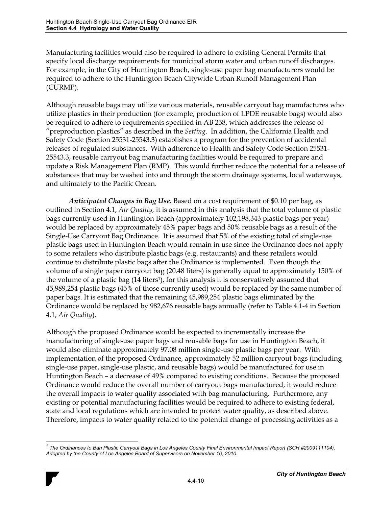Manufacturing facilities would also be required to adhere to existing General Permits that specify local discharge requirements for municipal storm water and urban runoff discharges. For example, in the City of Huntington Beach, single-use paper bag manufacturers would be required to adhere to the Huntington Beach Citywide Urban Runoff Management Plan (CURMP).

Although reusable bags may utilize various materials, reusable carryout bag manufactures who utilize plastics in their production (for example, production of LPDE reusable bags) would also be required to adhere to requirements specified in AB 258, which addresses the release of "preproduction plastics" as described in the Setting. In addition, the California Health and Safety Code (Section 25531-25543.3) establishes a program for the prevention of accidental releases of regulated substances. With adherence to Health and Safety Code Section 25531- 25543.3, reusable carryout bag manufacturing facilities would be required to prepare and update a Risk Management Plan (RMP). This would further reduce the potential for a release of substances that may be washed into and through the storm drainage systems, local waterways, and ultimately to the Pacific Ocean.

*Anticipated Changes in Bag Use.* Based on a cost requirement of \$0.10 per bag, as outlined in Section 4.1, *Air Quality,* it is assumed in this analysis that the total volume of plastic bags currently used in Huntington Beach (approximately 102,198,343 plastic bags per year) would be replaced by approximately 45% paper bags and 50% reusable bags as a result of the Single-Use Carryout Bag Ordinance. It is assumed that 5% of the existing total of single-use plastic bags used in Huntington Beach would remain in use since the Ordinance does not apply to some retailers who distribute plastic bags (e.g. restaurants) and these retailers would continue to distribute plastic bags after the Ordinance is implemented. Even though the volume of a single paper carryout bag (20.48 liters) is generally equal to approximately 150% of the volume of a plastic bag (14 liters1), for this analysis it is conservatively assumed that 45,989,254 plastic bags (45% of those currently used) would be replaced by the same number of paper bags. It is estimated that the remaining 45,989,254 plastic bags eliminated by the Ordinance would be replaced by 982,676 reusable bags annually (refer to Table 4.1-4 in Section 4.1, *Air Quality*).

Although the proposed Ordinance would be expected to incrementally increase the manufacturing of single-use paper bags and reusable bags for use in Huntington Beach, it would also eliminate approximately 97.08 million single-use plastic bags per year. With implementation of the proposed Ordinance, approximately 52 million carryout bags (including single-use paper, single-use plastic, and reusable bags) would be manufactured for use in Huntington Beach – a decrease of 49% compared to existing conditions. Because the proposed Ordinance would reduce the overall number of carryout bags manufactured, it would reduce the overall impacts to water quality associated with bag manufacturing. Furthermore, any existing or potential manufacturing facilities would be required to adhere to existing federal, state and local regulations which are intended to protect water quality, as described above. Therefore, impacts to water quality related to the potential change of processing activities as a

 $\overline{a}$ <sup>1</sup> The Ordinances to Ban Plastic Carryout Bags in Los Angeles County Final Environmental Impact Report (SCH #2009111104). *Adopted by the County of Los Angeles Board of Supervisors on November 16, 2010.*